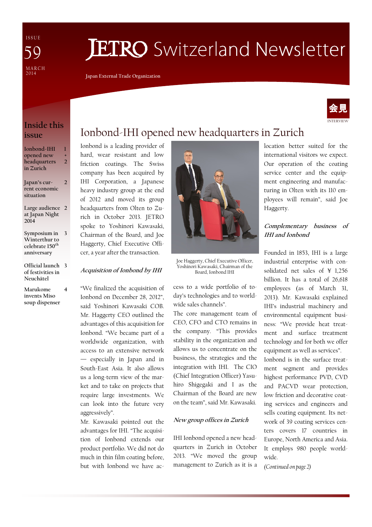I S S U E MARCH<br>2014 59

# **JETRO** Switzerland Newsletter

Japan External Trade Organization

### Inside this issue

| Ionbond-IHI  |   |
|--------------|---|
| opened new   | ۰ |
| headquarters | 7 |
| in Zurich    |   |
|              |   |
| Japan's cur- |   |

rent economic situation

- Large audience 2 at Japan Night 2014
- Symposium in 3 Winterthur to celebrate 150<sup>th</sup> anniversary
- Official launch 3 of festivities in Neuchâtel
- Marukome invents Miso soup dispenser

4

## Ionbond-IHI opened new headquarters in Zurich

Ionbond is a leading provider of hard, wear resistant and low friction coatings. The Swiss company has been acquired by IHI Corporation, a Japanese heavy industry group at the end of 2012 and moved its group headquarters from Olten to Zurich in October 2013. JETRO spoke to Yoshinori Kawasaki, Chairman of the Board, and Joe Haggerty, Chief Executive Officer, a year after the transaction.

#### Acquisition of Ionbond by IHI

"We finalized the acquisition of Ionbond on December 28, 2012", said Yoshinori Kawasaki COB. Mr. Haggerty CEO outlined the advantages of this acquisition for Ionbond. "We became part of a worldwide organization, with access to an extensive network — especially in Japan and in South-East Asia. It also allows us a long-term view of the market and to take on projects that require large investments. We can look into the future very aggressively".

Mr. Kawasaki pointed out the advantages for IHI. "The acquisition of Ionbond extends our product portfolio. We did not do much in thin film coating before, but with Ionbond we have ac-



Joe Haggerty, Chief Executive Officer, Yoshinori Kawasaki, Chairman of the Board, Ionbond IHI

cess to a wide portfolio of today's technologies and to worldwide sales channels".

The core management team of CEO, CFO and CTO remains in the company. "This provides stability in the organization and allows us to concentrate on the business, the strategies and the integration with IHI. The CIO (Chief Integration Officer) Yasuhiro Shigegaki and I as the Chairman of the Board are new on the team", said Mr. Kawasaki.

#### New group offices in Zurich

IHI Ionbond opened a new headquarters in Zurich in October 2013. "We moved the group management to Zurich as it is a location better suited for the international visitors we expect. Our operation of the coating service center and the equipment engineering and manufacturing in Olten with its 110 employees will remain", said Joe Haggerty.

#### Complementary business of IHI and Ionbond

Founded in 1853, IHI is a large industrial enterprise with consolidated net sales of ¥ 1,256 billion. It has a total of 26,618 employees (as of March 31, 2013). Mr. Kawasaki explained IHI's industrial machinery and environmental equipment business: "We provide heat treatment and surface treatment technology and for both we offer equipment as well as services". Ionbond is in the surface treatment segment and provides highest performance PVD, CVD and PACVD wear protection, low friction and decorative coating services and engineers and sells coating equipment. Its network of 39 coating services centers covers 17 countries in Europe, North America and Asia. It employs 980 people worldwide.

(Continued on page 2)

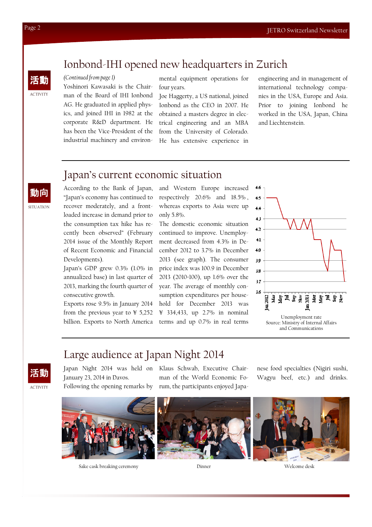## Ionbond-IHI opened new headquarters in Zurich

#### (Continued from page 1)

Yoshinori Kawasaki is the Chairman of the Board of IHI Ionbond AG. He graduated in applied physics, and joined IHI in 1982 at the corporate R&D department. He has been the Vice-President of the industrial machinery and environmental equipment operations for four years.

Joe Haggerty, a US national, joined Ionbond as the CEO in 2007. He obtained a masters degree in electrical engineering and an MBA from the University of Colorado. He has extensive experience in

engineering and in management of international technology companies in the USA, Europe and Asia. Prior to joining Ionbond he worked in the USA, Japan, China and Liechtenstein.

### Japan's current economic situation

According to the Bank of Japan, "Japan's economy has continued to recover moderately, and a frontloaded increase in demand prior to the consumption tax hike has recently been observed" (February 2014 issue of the Monthly Report of Recent Economic and Financial Developments).

Japan's GDP grew 0.3% (1.0% in annualized base) in last quarter of 2013, marking the fourth quarter of consecutive growth.

Exports rose 9.5% in January 2014 from the previous year to  $\frac{1}{2}$  5,252 billion. Exports to North America and Western Europe increased respectively 20.6% and 18.5% , whereas exports to Asia were up only 5.8%.

 $4.6$ 

The domestic economic situation continued to improve. Unemployment decreased from 4.3% in December 2012 to 3.7% in December 2013 (see graph). The consumer price index was 100.9 in December 2013 (2010=100), up 1.6% over the year. The average of monthly consumption expenditures per household for December 2013 was ¥ 334,433, up 2.7% in nominal terms and up 0.7% in real terms



and Communications

## Large audience at Japan Night 2014



Japan Night 2014 was held on Klaus Schwab, Executive Chair-January 23, 2014 in Davos. Following the opening remarks by

man of the World Economic Forum, the participants enjoyed Japanese food specialties (Nigiri sushi, Wagyu beef, etc.) and drinks.



Sake cask breaking ceremony Dinner





ACTIVITY

活動

動向

**SITUATION**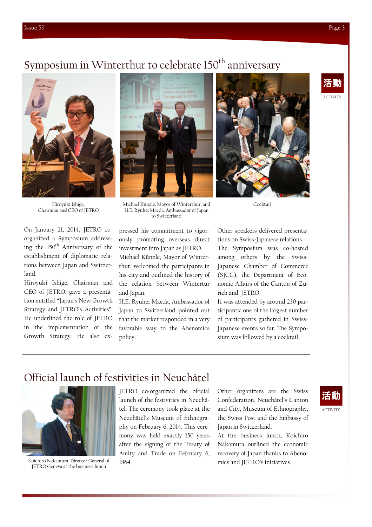# Symposium in Winterthur to celebrate 150<sup>th</sup> anniversary



Hiroyuki Ishige, Chairman and CEO of JETRO

On January 21, 2014, JETRO coorganized a Symposium addressing the 150<sup>th</sup> Anniversary of the establishment of diplomatic relations between Japan and Switzerland.

Hiroyuki Ishige, Chairman and CEO of JETRO, gave a presentation entitled "Japan's New Growth Strategy and JETRO's Activities". He underlined the role of JETRO in the implementation of the Growth Strategy. He also ex-







Cocktail

pressed his commitment to vigorously promoting overseas direct investment into Japan as JETRO. Michael Künzle, Mayor of Winterto Switzerland

H.E. Ryuhei Maeda, Ambassador of Japan

thur, welcomed the participants in his city and outlined the history of the relation between Wintertur and Japan.

H.E. Ryuhei Maeda, Ambassador of Japan to Switzerland pointed out that the market responded in a very favorable way to the Abenomics policy.

Other speakers delivered presentations on Swiss-Japanese relations.

The Symposium was co-hosted among others by the Swiss-Japanese Chamber of Commerce (SJCC), the Department of Economic Affairs of the Canton of Zurich and JETRO.

It was attended by around 230 participants: one of the largest number of participants gathered in Swiss-Japanese events so far. The Symposium was followed by a cocktail.

## Official launch of festivities in Neuchâtel



Koichiro Nakamura, Director General of JETRO Geneva at the business lunch

JETRO co-organized the official launch of the festivities in Neuchâtel. The ceremony took place at the Neuchâtel's Museum of Ethnography on February 6, 2014. This ceremony was held exactly 150 years after the signing of the Treaty of Amity and Trade on February 6, 1864.

Other organizers are the Swiss Confederation, Neuchâtel's Canton and City, Museum of Ethnography, the Swiss Post and the Embassy of Japan in Switzerland.

At the business lunch, Koichiro Nakamura outlined the economic recovery of Japan thanks to Abenomics and JETRO's initiatives.

# 活動

**ACTIVITY**